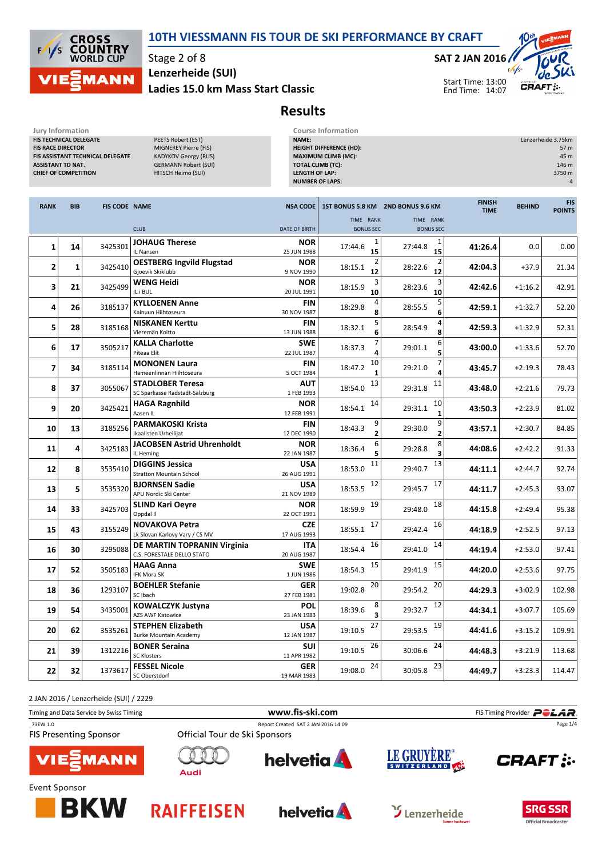



Stage 2 of 8 Ladies 15.0 km Mass Start Classic Lenzerheide (SUI)

SAT 2 JAN 2016



Results

| Jury Information<br>FIS TECHNICAL DELEGATE<br>PEETS Robert (EST)<br><b>FIS RACE DIRECTOR</b><br>MIGNEREY Pierre (FIS)<br>FIS ASSISTANT TECHNICAL DELEGATE<br><b>KADYKOV Georgy (RUS)</b><br><b>ASSISTANT TD NAT.</b><br><b>GERMANN Robert (SUI)</b><br><b>CHIEF OF COMPETITION</b><br>HITSCH Heimo (SUI) |            |                      | <b>Course Information</b><br>NAME:<br><b>HEIGHT DIFFERENCE (HD):</b><br><b>MAXIMUM CLIMB (MC):</b><br><b>TOTAL CLIMB (TC):</b><br><b>LENGTH OF LAP:</b><br><b>NUMBER OF LAPS:</b> |                           |                                 | Lenzerheide 3.75km<br>57 m<br>45 m<br>146 m<br>3750 m<br>4 |                              |               |                             |
|----------------------------------------------------------------------------------------------------------------------------------------------------------------------------------------------------------------------------------------------------------------------------------------------------------|------------|----------------------|-----------------------------------------------------------------------------------------------------------------------------------------------------------------------------------|---------------------------|---------------------------------|------------------------------------------------------------|------------------------------|---------------|-----------------------------|
| <b>RANK</b>                                                                                                                                                                                                                                                                                              | <b>BIB</b> | <b>FIS CODE NAME</b> |                                                                                                                                                                                   | <b>NSA CODE</b>           |                                 | 1ST BONUS 5.8 KM 2ND BONUS 9.6 KM                          | <b>FINISH</b><br><b>TIME</b> | <b>BEHIND</b> | <b>FIS</b><br><b>POINTS</b> |
|                                                                                                                                                                                                                                                                                                          |            |                      | <b>CLUB</b>                                                                                                                                                                       | <b>DATE OF BIRTH</b>      | TIME RANK<br><b>BONUS SEC</b>   | TIME RANK<br><b>BONUS SEC</b>                              |                              |               |                             |
| 1                                                                                                                                                                                                                                                                                                        | 14         | 3425301              | <b>JOHAUG Therese</b><br>IL Nansen                                                                                                                                                | <b>NOR</b><br>25 JUN 1988 | 17:44.6<br>15                   | 1<br>27:44.8<br>15                                         | 41:26.4                      | 0.0           | 0.00                        |
| $\overline{2}$                                                                                                                                                                                                                                                                                           | 1          | 3425410              | <b>OESTBERG Ingvild Flugstad</b><br>Gjoevik Skiklubb                                                                                                                              | <b>NOR</b><br>9 NOV 1990  | $\overline{2}$<br>18:15.1<br>12 | 2<br>28:22.6<br>12                                         | 42:04.3                      | $+37.9$       | 21.34                       |
| 3                                                                                                                                                                                                                                                                                                        | 21         | 3425499              | <b>WENG Heidi</b><br>IL i BUL                                                                                                                                                     | <b>NOR</b><br>20 JUL 1991 | 3<br>18:15.9<br>10              | 28:23.6<br>10                                              | 42:42.6                      | $+1:16.2$     | 42.91                       |
| 4                                                                                                                                                                                                                                                                                                        | 26         | 3185137              | <b>KYLLOENEN Anne</b><br>Kainuun Hiihtoseura                                                                                                                                      | FIN<br>30 NOV 1987        | 18:29.8                         | 5<br>28:55.5<br>6                                          | 42:59.1                      | $+1:32.7$     | 52.20                       |
| 5                                                                                                                                                                                                                                                                                                        | 28         | 3185168              | <b>NISKANEN Kerttu</b><br>Vieremän Koitto                                                                                                                                         | <b>FIN</b><br>13 JUN 1988 | 5<br>18:32.1<br>6               | 28:54.9<br>8                                               | 42:59.3                      | $+1:32.9$     | 52.31                       |
| 6                                                                                                                                                                                                                                                                                                        | 17         | 3505217              | <b>KALLA Charlotte</b><br>Piteaa Elit                                                                                                                                             | <b>SWE</b><br>22 JUL 1987 | 18:37.3                         | 6<br>29:01.1                                               | 43:00.0                      | $+1:33.6$     | 52.70                       |
| $\overline{\mathbf{z}}$                                                                                                                                                                                                                                                                                  | 34         | 3185114              | <b>MONONEN Laura</b><br>Hameenlinnan Hiihtoseura                                                                                                                                  | <b>FIN</b><br>5 OCT 1984  | 10<br>18:47.2                   | 29:21.0                                                    | 43:45.7                      | $+2:19.3$     | 78.43                       |
| 8                                                                                                                                                                                                                                                                                                        | 37         | 3055067              | <b>STADLOBER Teresa</b><br>SC Sparkasse Radstadt-Salzburg                                                                                                                         | AUT<br>1 FEB 1993         | 13<br>18:54.0                   | 11<br>29:31.8                                              | 43:48.0                      | $+2:21.6$     | 79.73                       |
| 9                                                                                                                                                                                                                                                                                                        | 20         | 3425421              | <b>HAGA Ragnhild</b><br>Aasen IL                                                                                                                                                  | <b>NOR</b><br>12 FEB 1991 | 14<br>18:54.1                   | 10<br>29:31.1<br>$\mathbf{1}$                              | 43:50.3                      | $+2:23.9$     | 81.02                       |
| 10                                                                                                                                                                                                                                                                                                       | 13         | 3185256              | <b>PARMAKOSKI Krista</b><br>Ikaalisten Urheilijat                                                                                                                                 | FIN<br>12 DEC 1990        | 9<br>18:43.3                    | 9<br>29:30.0                                               | 43:57.1                      | $+2:30.7$     | 84.85                       |
| 11                                                                                                                                                                                                                                                                                                       | 4          | 3425183              | <b>JACOBSEN Astrid Uhrenholdt</b><br>IL Heming                                                                                                                                    | <b>NOR</b><br>22 JAN 1987 | 6<br>18:36.4                    | 8<br>29:28.8                                               | 44:08.6                      | $+2:42.2$     | 91.33                       |
| 12                                                                                                                                                                                                                                                                                                       | 8          | 3535410              | <b>DIGGINS Jessica</b><br><b>Stratton Mountain School</b>                                                                                                                         | <b>USA</b><br>26 AUG 1991 | 11<br>18:53.0                   | 13<br>29:40.7                                              | 44:11.1                      | $+2:44.7$     | 92.74                       |
| 13                                                                                                                                                                                                                                                                                                       | 5          | 3535320              | <b>BJORNSEN Sadie</b><br>APU Nordic Ski Center                                                                                                                                    | <b>USA</b><br>21 NOV 1989 | 12<br>18:53.5                   | 17<br>29:45.7                                              | 44:11.7                      | $+2:45.3$     | 93.07                       |
| 14                                                                                                                                                                                                                                                                                                       | 33         | 3425703              | <b>SLIND Kari Oeyre</b><br>Oppdal II                                                                                                                                              | <b>NOR</b><br>22 OCT 1991 | 19<br>18:59.9                   | 18<br>29:48.0                                              | 44:15.8                      | $+2:49.4$     | 95.38                       |
| 15                                                                                                                                                                                                                                                                                                       | 43         | 3155249              | <b>NOVAKOVA Petra</b><br>Lk Slovan Karlovy Vary / CS MV                                                                                                                           | <b>CZE</b><br>17 AUG 1993 | 17<br>18:55.1                   | 16<br>29:42.4                                              | 44:18.9                      | $+2:52.5$     | 97.13                       |
| 16                                                                                                                                                                                                                                                                                                       | 30         | 3295088              | DE MARTIN TOPRANIN Virginia<br>C.S. FORESTALE DELLO STATO                                                                                                                         | ITA<br>20 AUG 1987        | 16<br>18:54.4                   | 14<br>29:41.0                                              | 44:19.4                      | $+2:53.0$     | 97.41                       |
| 17                                                                                                                                                                                                                                                                                                       | 52         | 3505183              | <b>HAAG Anna</b><br>IFK Mora SK                                                                                                                                                   | <b>SWE</b><br>1 JUN 1986  | 15<br>18:54.3                   | 15<br>29:41.9                                              | 44:20.0                      | $+2:53.6$     | 97.75                       |
| 18                                                                                                                                                                                                                                                                                                       | 36         | 1293107              | <b>BOEHLER Stefanie</b><br>SC Ibach                                                                                                                                               | GER<br>27 FEB 1981        | $20\,$<br>19:02.8               | 20<br>29:54.2                                              | 44:29.3                      | $+3:02.9$     | 102.98                      |
| 19                                                                                                                                                                                                                                                                                                       | 54         | 3435001              | <b>KOWALCZYK Justyna</b><br><b>AZS AWF Katowice</b>                                                                                                                               | <b>POL</b><br>23 JAN 1983 | 8<br>18:39.6<br>3               | 12<br>29:32.7                                              | 44:34.1                      | $+3:07.7$     | 105.69                      |
| 20                                                                                                                                                                                                                                                                                                       | 62         | 3535261              | <b>STEPHEN Elizabeth</b><br><b>Burke Mountain Academy</b>                                                                                                                         | <b>USA</b><br>12 JAN 1987 | 27<br>19:10.5                   | 19<br>29:53.5                                              | 44:41.6                      | $+3:15.2$     | 109.91                      |
| 21                                                                                                                                                                                                                                                                                                       | 39         | 1312216              | <b>BONER Seraina</b><br><b>SC Klosters</b>                                                                                                                                        | <b>SUI</b><br>11 APR 1982 | 26<br>19:10.5                   | 24<br>30:06.6                                              | 44:48.3                      | $+3:21.9$     | 113.68                      |
| 22                                                                                                                                                                                                                                                                                                       | 32         | 1373617              | <b>FESSEL Nicole</b><br>SC Oberstdorf                                                                                                                                             | <b>GER</b><br>19 MAR 1983 | 24<br>19:08.0                   | 23<br>30:05.8                                              | 44:49.7                      | $+3:23.3$     | 114.47                      |

2 JAN 2016 / Lenzerheide (SUI) / 2229

| Timing and Data Service by Swiss Timing | www.fis-ski.com                     |                 |             | FIS Timing Provider <b>POLAR</b> |  |  |
|-----------------------------------------|-------------------------------------|-----------------|-------------|----------------------------------|--|--|
| 73EW 1.0                                | Report Created SAT 2 JAN 2016 14:09 |                 |             | Page 1/4                         |  |  |
| <b>FIS Presenting Sponsor</b>           | Official Tour de Ski Sponsors       |                 |             |                                  |  |  |
| <b>VIESMANN</b>                         | Audi                                | <b>helvetia</b> | LE GRUYÈRE® | <b>CRAFT:</b>                    |  |  |











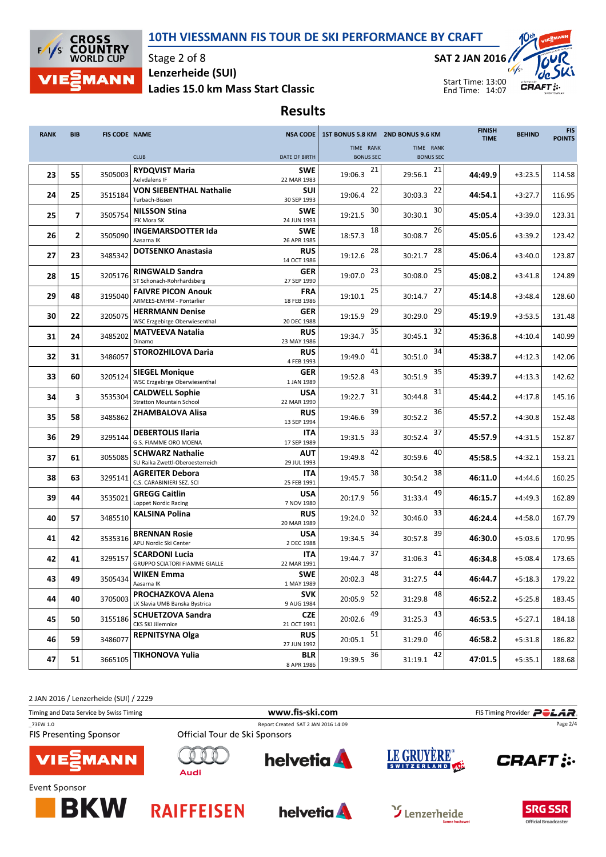## 10TH VIESSMANN FIS TOUR DE SKI PERFORMANCE BY CRAFT



Stage 2 of 8 Ladies 15.0 km Mass Start Classic Lenzerheide (SUI)

SAT 2 JAN 2016



Start Time: 13:00 End Time: 14:07

## Results

| <b>RANK</b> | <b>BIB</b>     | <b>FIS CODE NAME</b> |                                                                | <b>NSA CODE</b>           |                               | 1ST BONUS 5.8 KM 2ND BONUS 9.6 KM | <b>FINISH</b><br><b>TIME</b> | <b>BEHIND</b> | <b>FIS</b><br><b>POINTS</b> |
|-------------|----------------|----------------------|----------------------------------------------------------------|---------------------------|-------------------------------|-----------------------------------|------------------------------|---------------|-----------------------------|
|             |                |                      | <b>CLUB</b>                                                    | DATE OF BIRTH             | TIME RANK<br><b>BONUS SEC</b> | TIME RANK<br><b>BONUS SEC</b>     |                              |               |                             |
| 23          | 55             | 3505003              | <b>RYDQVIST Maria</b><br>Aelvdalens IF                         | <b>SWE</b><br>22 MAR 1983 | 21<br>19:06.3                 | 21<br>29:56.1                     | 44:49.9                      | $+3:23.5$     | 114.58                      |
| 24          | 25             | 3515184              | <b>VON SIEBENTHAL Nathalie</b><br>Turbach-Bissen               | <b>SUI</b><br>30 SEP 1993 | 22<br>19:06.4                 | 22<br>30:03.3                     | 44:54.1                      | $+3:27.7$     | 116.95                      |
| 25          | $\overline{7}$ | 3505754              | <b>NILSSON Stina</b><br>IFK Mora SK                            | <b>SWE</b><br>24 JUN 1993 | 30<br>19:21.5                 | 30<br>30:30.1                     | 45:05.4                      | $+3:39.0$     | 123.31                      |
| 26          | $\mathbf{2}$   | 3505090              | <b>INGEMARSDOTTER Ida</b><br>Aasarna IK                        | <b>SWE</b><br>26 APR 1985 | 18<br>18:57.3                 | 26<br>30:08.7                     | 45:05.6                      | $+3:39.2$     | 123.42                      |
| 27          | 23             | 3485342              | <b>DOTSENKO Anastasia</b>                                      | <b>RUS</b><br>14 OCT 1986 | 28<br>19:12.6                 | 28<br>30:21.7                     | 45:06.4                      | $+3:40.0$     | 123.87                      |
| 28          | 15             | 3205176              | <b>RINGWALD Sandra</b><br>ST Schonach-Rohrhardsberg            | <b>GER</b><br>27 SEP 1990 | 23<br>19:07.0                 | 25<br>30:08.0                     | 45:08.2                      | $+3:41.8$     | 124.89                      |
| 29          | 48             | 3195040              | <b>FAIVRE PICON Anouk</b><br>ARMEES-EMHM - Pontarlier          | <b>FRA</b><br>18 FEB 1986 | 25<br>19:10.1                 | 27<br>30:14.7                     | 45:14.8                      | $+3:48.4$     | 128.60                      |
| 30          | 22             | 3205075              | <b>HERRMANN Denise</b><br><b>WSC Erzgebirge Oberwiesenthal</b> | <b>GER</b><br>20 DEC 1988 | 29<br>19:15.9                 | 29<br>30:29.0                     | 45:19.9                      | $+3:53.5$     | 131.48                      |
| 31          | 24             | 3485202              | <b>MATVEEVA Natalia</b><br>Dinamo                              | <b>RUS</b><br>23 MAY 1986 | 35<br>19:34.7                 | 32<br>30:45.1                     | 45:36.8                      | $+4:10.4$     | 140.99                      |
| 32          | 31             | 3486057              | <b>STOROZHILOVA Daria</b>                                      | <b>RUS</b><br>4 FEB 1993  | 41<br>19:49.0                 | 34<br>30:51.0                     | 45:38.7                      | $+4:12.3$     | 142.06                      |
| 33          | 60             | 3205124              | <b>SIEGEL Monique</b><br>WSC Erzgebirge Oberwiesenthal         | <b>GER</b><br>1 JAN 1989  | 43<br>19:52.8                 | 35<br>30:51.9                     | 45:39.7                      | $+4:13.3$     | 142.62                      |
| 34          | 3              | 3535304              | <b>CALDWELL Sophie</b><br><b>Stratton Mountain School</b>      | <b>USA</b><br>22 MAR 1990 | 31<br>19:22.7                 | 31<br>30:44.8                     | 45:44.2                      | $+4:17.8$     | 145.16                      |
| 35          | 58             | 3485862              | <b>ZHAMBALOVA Alisa</b>                                        | <b>RUS</b><br>13 SEP 1994 | 39<br>19:46.6                 | 36<br>30:52.2                     | 45:57.2                      | $+4:30.8$     | 152.48                      |
| 36          | 29             | 3295144              | <b>DEBERTOLIS Ilaria</b><br>G.S. FIAMME ORO MOENA              | <b>ITA</b><br>17 SEP 1989 | 33<br>19:31.5                 | 37<br>30:52.4                     | 45:57.9                      | $+4:31.5$     | 152.87                      |
| 37          | 61             | 3055085              | <b>SCHWARZ Nathalie</b><br>SU Raika Zwettl-Oberoesterreich     | <b>AUT</b><br>29 JUL 1993 | 42<br>19:49.8                 | 40<br>30:59.6                     | 45:58.5                      | $+4:32.1$     | 153.21                      |
| 38          | 63             | 3295141              | <b>AGREITER Debora</b><br>C.S. CARABINIERI SEZ. SCI            | <b>ITA</b><br>25 FEB 1991 | 38<br>19:45.7                 | 38<br>30:54.2                     | 46:11.0                      | $+4:44.6$     | 160.25                      |
| 39          | 44             | 3535021              | <b>GREGG Caitlin</b><br>Loppet Nordic Racing                   | <b>USA</b><br>7 NOV 1980  | 56<br>20:17.9                 | 49<br>31:33.4                     | 46:15.7                      | $+4:49.3$     | 162.89                      |
| 40          | 57             | 3485510              | <b>KALSINA Polina</b>                                          | <b>RUS</b><br>20 MAR 1989 | 32<br>19:24.0                 | 33<br>30:46.0                     | 46:24.4                      | $+4:58.0$     | 167.79                      |
| 41          | 42             | 3535316              | <b>BRENNAN Rosie</b><br>APU Nordic Ski Center                  | <b>USA</b><br>2 DEC 1988  | 34<br>19:34.5                 | 39<br>30:57.8                     | 46:30.0                      | $+5:03.6$     | 170.95                      |
| 42          | 41             | 3295157              | <b>SCARDONI Lucia</b><br>GRUPPO SCIATORI FIAMME GIALLE         | <b>ITA</b><br>22 MAR 1991 | 37<br>19:44.7                 | 41<br>31:06.3                     | 46:34.8                      | $+5:08.4$     | 173.65                      |
| 43          | 49             | 3505434              | <b>WIKEN Emma</b><br>Aasarna IK                                | <b>SWE</b><br>1 MAY 1989  | 48<br>20:02.3                 | 44<br>31:27.5                     | 46:44.7                      | $+5:18.3$     | 179.22                      |
| 44          | 40             | 3705003              | PROCHAZKOVA Alena<br>LK Slavia UMB Banska Bystrica             | <b>SVK</b><br>9 AUG 1984  | 52<br>20:05.9                 | 48<br>31:29.8                     | 46:52.2                      | $+5:25.8$     | 183.45                      |
| 45          | 50             | 3155186              | <b>SCHUETZOVA Sandra</b><br>CKS SKI Jilemnice                  | <b>CZE</b><br>21 OCT 1991 | 49<br>20:02.6                 | 43<br>31:25.3                     | 46:53.5                      | $+5:27.1$     | 184.18                      |
| 46          | 59             | 3486077              | <b>REPNITSYNA Olga</b>                                         | <b>RUS</b><br>27 JUN 1992 | 51<br>20:05.1                 | 46<br>31:29.0                     | 46:58.2                      | $+5:31.8$     | 186.82                      |
| 47          | 51             | 3665105              | <b>TIKHONOVA Yulia</b>                                         | BLR<br>8 APR 1986         | 36<br>19:39.5                 | 42<br>31:19.1                     | 47:01.5                      | $+5:35.1$     | 188.68                      |

2 JAN 2016 / Lenzerheide (SUI) / 2229

| Timing and Data Service by Swiss Timing |                               | FIS Timing Provider <b>POLAR</b> . |                                    |                |  |
|-----------------------------------------|-------------------------------|------------------------------------|------------------------------------|----------------|--|
| 73EW 1.0                                |                               |                                    | Page 2/4                           |                |  |
| <b>FIS Presenting Sponsor</b>           | Official Tour de Ski Sponsors |                                    |                                    |                |  |
| <b>VIE EMANN</b>                        | Audi                          | <b>helvetia</b>                    | LE GRUYERE®                        | <b>CRAFT:</b>  |  |
| Event Sponsor                           |                               |                                    |                                    |                |  |
| <b>RKW</b>                              | <b>RAIFFEISEN</b>             | <b>helvetia</b>                    | $\mathbf{\mathcal{Y}}$ Lenzerheide | <b>SRG SSR</b> |  |







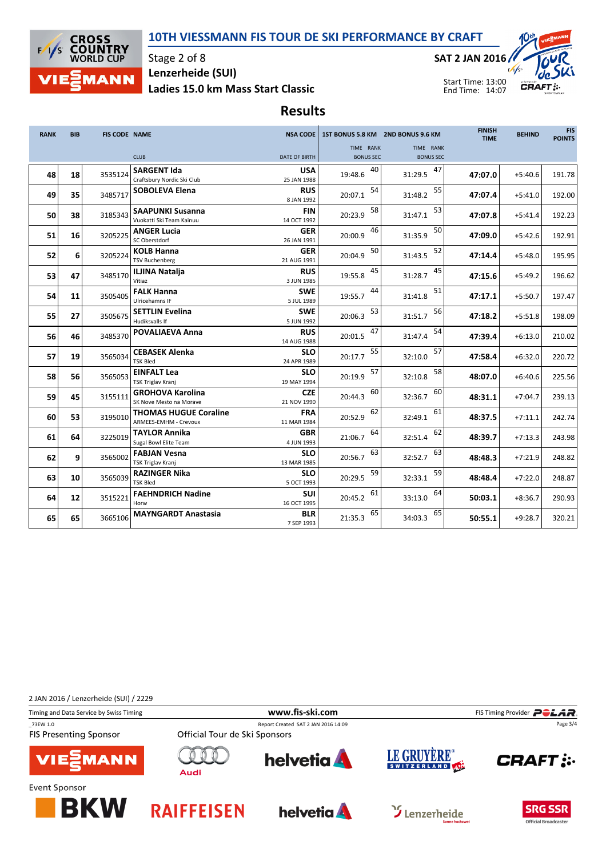## 10TH VIESSMANN FIS TOUR DE SKI PERFORMANCE BY CRAFT



Stage 2 of 8 Ladies 15.0 km Mass Start Classic Lenzerheide (SUI)

SAT 2 JAN 2016



Start Time: 13:00 End Time: 14:07

Results

| <b>RANK</b> | <b>BIB</b> | <b>FIS CODE NAME</b> |                                                       | <b>NSA CODE</b>           |                               | 1ST BONUS 5.8 KM 2ND BONUS 9.6 KM | <b>FINISH</b><br><b>TIME</b> | <b>BEHIND</b> | <b>FIS</b><br><b>POINTS</b> |
|-------------|------------|----------------------|-------------------------------------------------------|---------------------------|-------------------------------|-----------------------------------|------------------------------|---------------|-----------------------------|
|             |            |                      | <b>CLUB</b>                                           | DATE OF BIRTH             | TIME RANK<br><b>BONUS SEC</b> | TIME RANK<br><b>BONUS SEC</b>     |                              |               |                             |
| 48          | 18         | 3535124              | <b>SARGENT Ida</b><br>Craftsbury Nordic Ski Club      | <b>USA</b><br>25 JAN 1988 | 40<br>19:48.6                 | 47<br>31:29.5                     | 47:07.0                      | $+5:40.6$     | 191.78                      |
| 49          | 35         | 3485717              | <b>SOBOLEVA Elena</b>                                 | <b>RUS</b><br>8 JAN 1992  | 54<br>20:07.1                 | 55<br>31:48.2                     | 47:07.4                      | $+5:41.0$     | 192.00                      |
| 50          | 38         | 3185343              | <b>SAAPUNKI Susanna</b><br>Vuokatti Ski Team Kainuu   | <b>FIN</b><br>14 OCT 1992 | 58<br>20:23.9                 | 53<br>31:47.1                     | 47:07.8                      | $+5:41.4$     | 192.23                      |
| 51          | 16         | 3205225              | <b>ANGER Lucia</b><br>SC Oberstdorf                   | <b>GER</b><br>26 JAN 1991 | 46<br>20:00.9                 | 50<br>31:35.9                     | 47:09.0                      | $+5:42.6$     | 192.91                      |
| 52          | 6          | 3205224              | <b>KOLB Hanna</b><br><b>TSV Buchenberg</b>            | <b>GER</b><br>21 AUG 1991 | 50<br>20:04.9                 | 52<br>31:43.5                     | 47:14.4                      | $+5:48.0$     | 195.95                      |
| 53          | 47         | 3485170              | <b>ILJINA Natalja</b><br>Vitiaz                       | <b>RUS</b><br>3 JUN 1985  | 45<br>19:55.8                 | 45<br>31:28.7                     | 47:15.6                      | $+5:49.2$     | 196.62                      |
| 54          | 11         | 3505405              | <b>FALK Hanna</b><br>Ulricehamns IF                   | <b>SWE</b><br>5 JUL 1989  | 44<br>19:55.7                 | 51<br>31:41.8                     | 47:17.1                      | $+5:50.7$     | 197.47                      |
| 55          | 27         | 3505675              | <b>SETTLIN Evelina</b><br>Hudiksvalls If              | <b>SWE</b><br>5 JUN 1992  | 53<br>20:06.3                 | 56<br>31:51.7                     | 47:18.2                      | $+5:51.8$     | 198.09                      |
| 56          | 46         | 3485370              | <b>POVALIAEVA Anna</b>                                | <b>RUS</b><br>14 AUG 1988 | 47<br>20:01.5                 | 54<br>31:47.4                     | 47:39.4                      | $+6:13.0$     | 210.02                      |
| 57          | 19         | 3565034              | <b>CEBASEK Alenka</b><br><b>TSK Bled</b>              | <b>SLO</b><br>24 APR 1989 | 55<br>20:17.7                 | 57<br>32:10.0                     | 47:58.4                      | $+6:32.0$     | 220.72                      |
| 58          | 56         | 3565053              | <b>EINFALT Lea</b><br>TSK Triglav Kranj               | <b>SLO</b><br>19 MAY 1994 | 57<br>20:19.9                 | 58<br>32:10.8                     | 48:07.0                      | $+6:40.6$     | 225.56                      |
| 59          | 45         | 3155111              | <b>GROHOVA Karolina</b><br>SK Nove Mesto na Morave    | <b>CZE</b><br>21 NOV 1990 | 60<br>20:44.3                 | 60<br>32:36.7                     | 48:31.1                      | $+7:04.7$     | 239.13                      |
| 60          | 53         | 3195010              | <b>THOMAS HUGUE Coraline</b><br>ARMEES-EMHM - Crevoux | <b>FRA</b><br>11 MAR 1984 | 62<br>20:52.9                 | 61<br>32:49.1                     | 48:37.5                      | $+7:11.1$     | 242.74                      |
| 61          | 64         | 3225019              | <b>TAYLOR Annika</b><br>Sugal Bowl Elite Team         | <b>GBR</b><br>4 JUN 1993  | 64<br>21:06.7                 | 62<br>32:51.4                     | 48:39.7                      | $+7:13.3$     | 243.98                      |
| 62          | 9          | 3565002              | <b>FABJAN Vesna</b><br>TSK Triglav Kranj              | <b>SLO</b><br>13 MAR 1985 | 63<br>20:56.7                 | 63<br>32:52.7                     | 48:48.3                      | $+7:21.9$     | 248.82                      |
| 63          | 10         | 3565039              | <b>RAZINGER Nika</b><br><b>TSK Bled</b>               | SLO<br>5 OCT 1993         | 59<br>20:29.5                 | 59<br>32:33.1                     | 48:48.4                      | $+7:22.0$     | 248.87                      |
| 64          | 12         | 3515221              | <b>FAEHNDRICH Nadine</b><br>Horw                      | <b>SUI</b><br>16 OCT 1995 | 61<br>20:45.2                 | 64<br>33:13.0                     | 50:03.1                      | $+8:36.7$     | 290.93                      |
| 65          | 65         | 3665106              | <b>MAYNGARDT Anastasia</b>                            | <b>BLR</b><br>7 SEP 1993  | 65<br>21:35.3                 | 65<br>34:03.3                     | 50:55.1                      | $+9:28.7$     | 320.21                      |

2 JAN 2016 / Lenzerheide (SUI) / 2229